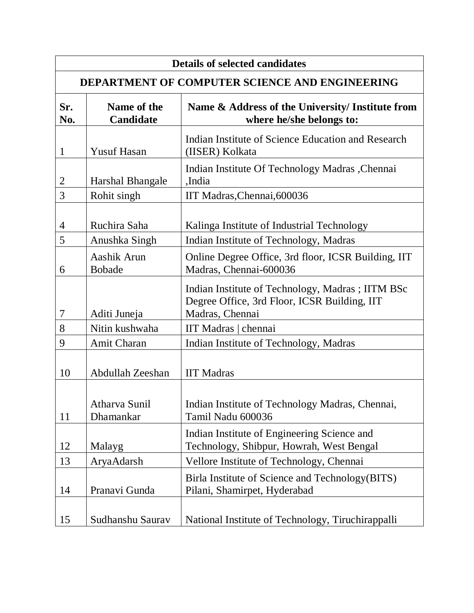| <b>Details of selected candidates</b>                 |                                 |                                                                                                                      |  |
|-------------------------------------------------------|---------------------------------|----------------------------------------------------------------------------------------------------------------------|--|
| <b>DEPARTMENT OF COMPUTER SCIENCE AND ENGINEERING</b> |                                 |                                                                                                                      |  |
| Sr.<br>No.                                            | Name of the<br><b>Candidate</b> | Name & Address of the University/ Institute from<br>where he/she belongs to:                                         |  |
| 1                                                     | <b>Yusuf Hasan</b>              | Indian Institute of Science Education and Research<br>(IISER) Kolkata                                                |  |
| 2                                                     | Harshal Bhangale                | Indian Institute Of Technology Madras , Chennai<br>,India                                                            |  |
| 3                                                     | Rohit singh                     | IIT Madras, Chennai, 600036                                                                                          |  |
| 4<br>5                                                | Ruchira Saha<br>Anushka Singh   | Kalinga Institute of Industrial Technology<br>Indian Institute of Technology, Madras                                 |  |
| 6                                                     | Aashik Arun<br><b>Bobade</b>    | Online Degree Office, 3rd floor, ICSR Building, IIT<br>Madras, Chennai-600036                                        |  |
| 7                                                     | Aditi Juneja                    | Indian Institute of Technology, Madras ; IITM BSc<br>Degree Office, 3rd Floor, ICSR Building, IIT<br>Madras, Chennai |  |
| 8                                                     | Nitin kushwaha                  | IIT Madras   chennai                                                                                                 |  |
| 9                                                     | Amit Charan                     | Indian Institute of Technology, Madras                                                                               |  |
| 10                                                    | Abdullah Zeeshan                | <b>IIT Madras</b>                                                                                                    |  |
| 11                                                    | Atharva Sunil<br>Dhamankar      | Indian Institute of Technology Madras, Chennai,<br>Tamil Nadu 600036                                                 |  |
| 12                                                    | Malayg                          | Indian Institute of Engineering Science and<br>Technology, Shibpur, Howrah, West Bengal                              |  |
| 13                                                    | AryaAdarsh                      | Vellore Institute of Technology, Chennai                                                                             |  |
| 14                                                    | Pranavi Gunda                   | Birla Institute of Science and Technology (BITS)<br>Pilani, Shamirpet, Hyderabad                                     |  |
| 15                                                    | Sudhanshu Saurav                | National Institute of Technology, Tiruchirappalli                                                                    |  |